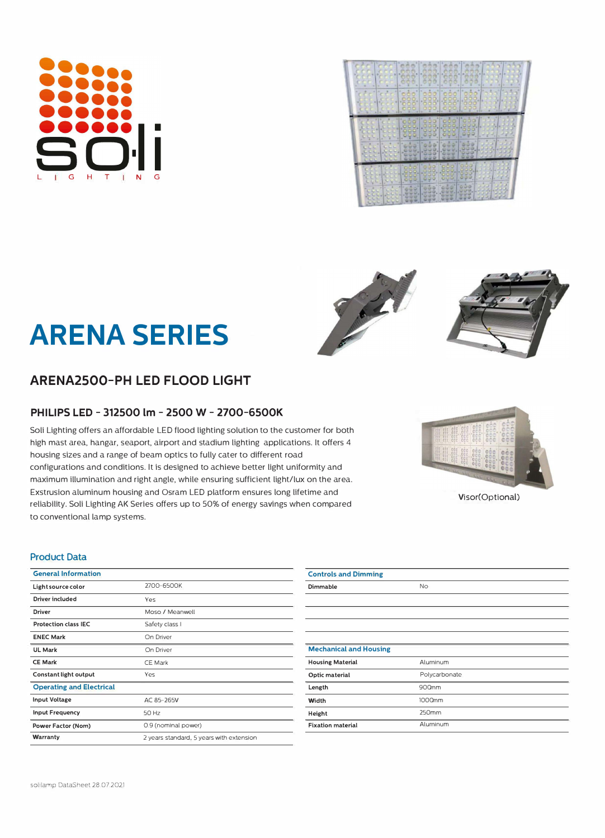# **ARENA SERIES**

## **ARENA2500-PH LED FLOOD LIGHT**

## **PHILIPS LED - 312500 lm - 2500 W- 2700-6500K**

Soli Lighting offers an affordable LED flood lighting solution to the customer for both high mast area, hangar, seaport, airport and stadium lighting applications. it offers 4 housing sizes and a range of beam optics to fully cater to different road configurations and conditions. it is designed to achieve better light uniformity and maximum illumination and right angle, while ensuring sufficient light/lux on the area. Exstrusion aluminum housing and Osram LED platform ensures long lifetime and reliability. Soli Lighting AK Series offers up to 50% of energy savings when compared to conventional lamp systems.

#### **Product Data**

| <b>General Information</b>      |                                          | <b>Controls and Dimming</b>   |
|---------------------------------|------------------------------------------|-------------------------------|
| Light source color              | 2700-6500K                               | Dimmable                      |
| <b>Driver included</b>          | Yes                                      |                               |
| Driver                          | Moso / Meanwell                          |                               |
| <b>Protection class IEC</b>     | Safety class I                           |                               |
| <b>ENEC Mark</b>                | On Driver                                |                               |
| UL Mark                         | On Driver                                | <b>Mechanical and Housing</b> |
| <b>CE Mark</b>                  | <b>CE Mark</b>                           | <b>Housing Material</b>       |
| Constant light output           | Yes.                                     | Optic material                |
| <b>Operating and Electrical</b> |                                          | Length                        |
| <b>Input Voltage</b>            | AC 85-265V                               | Width                         |
| <b>Input Frequency</b>          | 50 Hz                                    | Height                        |
| Power Factor (Nom)              | 0.9 (nominal power)                      | <b>Fixation material</b>      |
| Warranty                        | 2 years standard, 5 years with extension |                               |

| Dimmable                      | <b>No</b>     |
|-------------------------------|---------------|
|                               |               |
|                               |               |
|                               |               |
|                               |               |
| <b>Mechanical and Housing</b> |               |
| <b>Housing Material</b>       | Aluminum      |
| Optic material                | Polycarbonate |
| Length                        | 900mm         |
| Width                         | 1000nm        |
| Height                        | 250mm         |
| <b>Fixation material</b>      | Aluminum      |
|                               |               |











Visor(Optional)